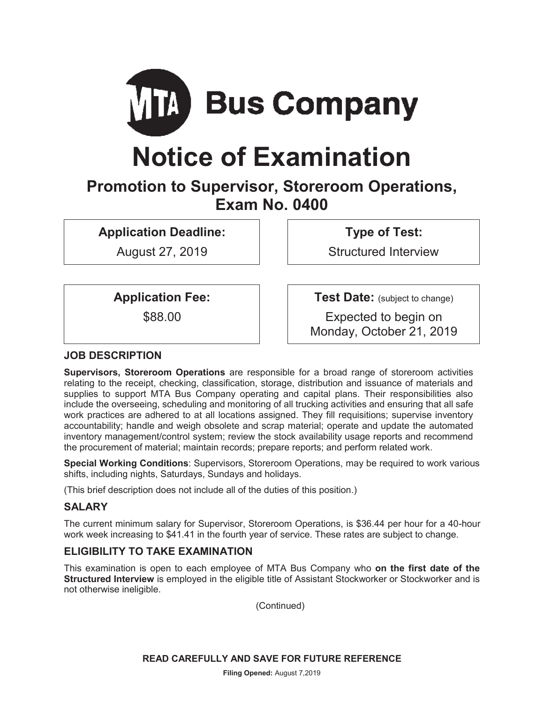

# **Notice of Examination**

# **Promotion to Supervisor, Storeroom Operations, Exam No. 0400**

**Application Deadline:** 

August 27, 2019

**Type of Test:** 

Structured Interview

**Application Fee:** 

\$88.00

**Test Date:** (subject to change)

Expected to begin on Monday, October 21, 2019

# **JOB DESCRIPTION**

**Supervisors, Storeroom Operations** are responsible for a broad range of storeroom activities relating to the receipt, checking, classification, storage, distribution and issuance of materials and supplies to support MTA Bus Company operating and capital plans. Their responsibilities also include the overseeing, scheduling and monitoring of all trucking activities and ensuring that all safe work practices are adhered to at all locations assigned. They fill requisitions; supervise inventory accountability; handle and weigh obsolete and scrap material; operate and update the automated inventory management/control system; review the stock availability usage reports and recommend the procurement of material; maintain records; prepare reports; and perform related work.

**Special Working Conditions**: Supervisors, Storeroom Operations, may be required to work various shifts, including nights, Saturdays, Sundays and holidays.

(This brief description does not include all of the duties of this position.)

# **SALARY**

The current minimum salary for Supervisor, Storeroom Operations, is \$36.44 per hour for a 40-hour work week increasing to \$41.41 in the fourth year of service. These rates are subject to change.

# **ELIGIBILITY TO TAKE EXAMINATION**

This examination is open to each employee of MTA Bus Company who **on the first date of the Structured Interview** is employed in the eligible title of Assistant Stockworker or Stockworker and is not otherwise ineligible.

(Continued)

**READ CAREFULLY AND SAVE FOR FUTURE REFERENCE**

**Filing Opened:** August 7,2019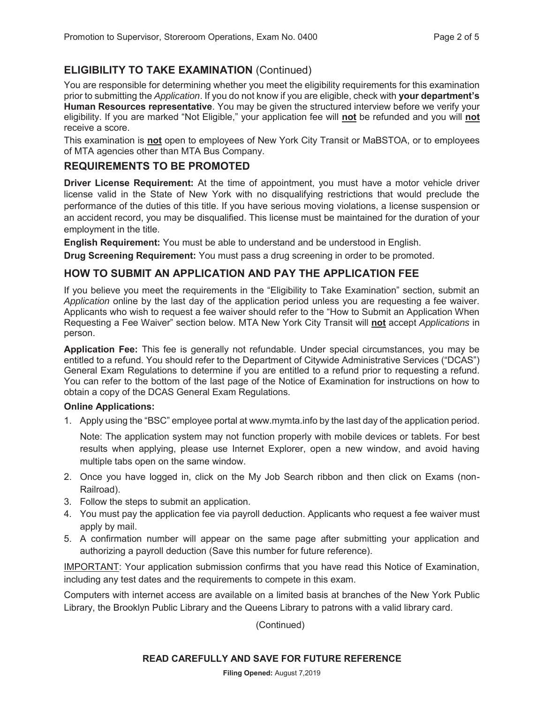# **ELIGIBILITY TO TAKE EXAMINATION** (Continued)

You are responsible for determining whether you meet the eligibility requirements for this examination prior to submitting the *Application*. If you do not know if you are eligible, check with **your department's Human Resources representative**. You may be given the structured interview before we verify your eligibility. If you are marked "Not Eligible," your application fee will **not** be refunded and you will **not** receive a score.

This examination is **not** open to employees of New York City Transit or MaBSTOA, or to employees of MTA agencies other than MTA Bus Company.

# **REQUIREMENTS TO BE PROMOTED**

**Driver License Requirement:** At the time of appointment, you must have a motor vehicle driver license valid in the State of New York with no disqualifying restrictions that would preclude the performance of the duties of this title. If you have serious moving violations, a license suspension or an accident record, you may be disqualified. This license must be maintained for the duration of your employment in the title.

**English Requirement:** You must be able to understand and be understood in English.

**Drug Screening Requirement:** You must pass a drug screening in order to be promoted.

# **HOW TO SUBMIT AN APPLICATION AND PAY THE APPLICATION FEE**

If you believe you meet the requirements in the "Eligibility to Take Examination" section, submit an *Application* online by the last day of the application period unless you are requesting a fee waiver. Applicants who wish to request a fee waiver should refer to the "How to Submit an Application When Requesting a Fee Waiver" section below. MTA New York City Transit will **not** accept *Applications* in person.

**Application Fee:** This fee is generally not refundable. Under special circumstances, you may be entitled to a refund. You should refer to the Department of Citywide Administrative Services ("DCAS") General Exam Regulations to determine if you are entitled to a refund prior to requesting a refund. You can refer to the bottom of the last page of the Notice of Examination for instructions on how to obtain a copy of the DCAS General Exam Regulations.

#### **Online Applications:**

1. Apply using the "BSC" employee portal at www.mymta.info by the last day of the application period.

Note: The application system may not function properly with mobile devices or tablets. For best results when applying, please use Internet Explorer, open a new window, and avoid having multiple tabs open on the same window.

- 2. Once you have logged in, click on the My Job Search ribbon and then click on Exams (non-Railroad).
- 3. Follow the steps to submit an application.
- 4. You must pay the application fee via payroll deduction. Applicants who request a fee waiver must apply by mail.
- 5. A confirmation number will appear on the same page after submitting your application and authorizing a payroll deduction (Save this number for future reference).

IMPORTANT: Your application submission confirms that you have read this Notice of Examination, including any test dates and the requirements to compete in this exam.

Computers with internet access are available on a limited basis at branches of the New York Public Library, the Brooklyn Public Library and the Queens Library to patrons with a valid library card.

(Continued)

#### **READ CAREFULLY AND SAVE FOR FUTURE REFERENCE**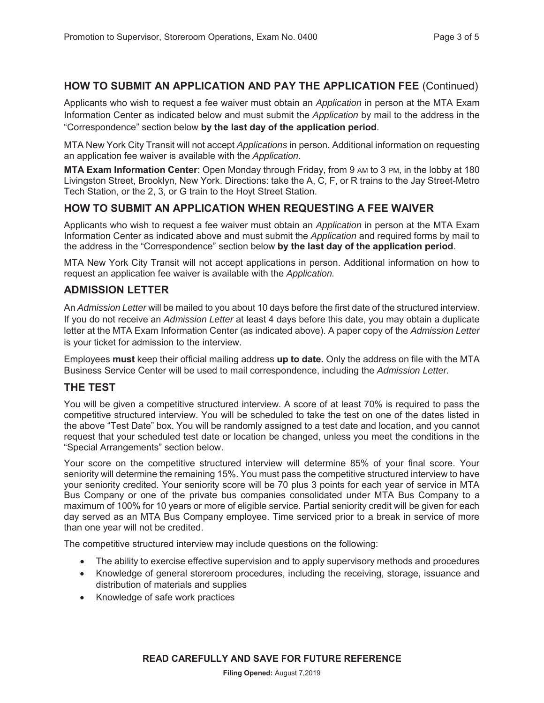### **HOW TO SUBMIT AN APPLICATION AND PAY THE APPLICATION FEE** (Continued)

Applicants who wish to request a fee waiver must obtain an *Application* in person at the MTA Exam Information Center as indicated below and must submit the *Application* by mail to the address in the "Correspondence" section below **by the last day of the application period**.

MTA New York City Transit will not accept *Applications* in person. Additional information on requesting an application fee waiver is available with the *Application*.

**MTA Exam Information Center**: Open Monday through Friday, from 9 AM to 3 PM, in the lobby at 180 Livingston Street, Brooklyn, New York. Directions: take the A, C, F, or R trains to the Jay Street-Metro Tech Station, or the 2, 3, or G train to the Hoyt Street Station.

#### **HOW TO SUBMIT AN APPLICATION WHEN REQUESTING A FEE WAIVER**

Applicants who wish to request a fee waiver must obtain an *Application* in person at the MTA Exam Information Center as indicated above and must submit the *Application* and required forms by mail to the address in the "Correspondence" section below **by the last day of the application period**.

MTA New York City Transit will not accept applications in person. Additional information on how to request an application fee waiver is available with the *Application.*

#### **ADMISSION LETTER**

An *Admission Letter* will be mailed to you about 10 days before the first date of the structured interview. If you do not receive an *Admission Letter* at least 4 days before this date, you may obtain a duplicate letter at the MTA Exam Information Center (as indicated above). A paper copy of the *Admission Letter* is your ticket for admission to the interview.

Employees **must** keep their official mailing address **up to date.** Only the address on file with the MTA Business Service Center will be used to mail correspondence, including the *Admission Letter.*

#### **THE TEST**

You will be given a competitive structured interview. A score of at least 70% is required to pass the competitive structured interview. You will be scheduled to take the test on one of the dates listed in the above "Test Date" box. You will be randomly assigned to a test date and location, and you cannot request that your scheduled test date or location be changed, unless you meet the conditions in the "Special Arrangements" section below.

Your score on the competitive structured interview will determine 85% of your final score. Your seniority will determine the remaining 15%. You must pass the competitive structured interview to have your seniority credited. Your seniority score will be 70 plus 3 points for each year of service in MTA Bus Company or one of the private bus companies consolidated under MTA Bus Company to a maximum of 100% for 10 years or more of eligible service. Partial seniority credit will be given for each day served as an MTA Bus Company employee. Time serviced prior to a break in service of more than one year will not be credited.

The competitive structured interview may include questions on the following:

- The ability to exercise effective supervision and to apply supervisory methods and procedures
- Knowledge of general storeroom procedures, including the receiving, storage, issuance and distribution of materials and supplies
- Knowledge of safe work practices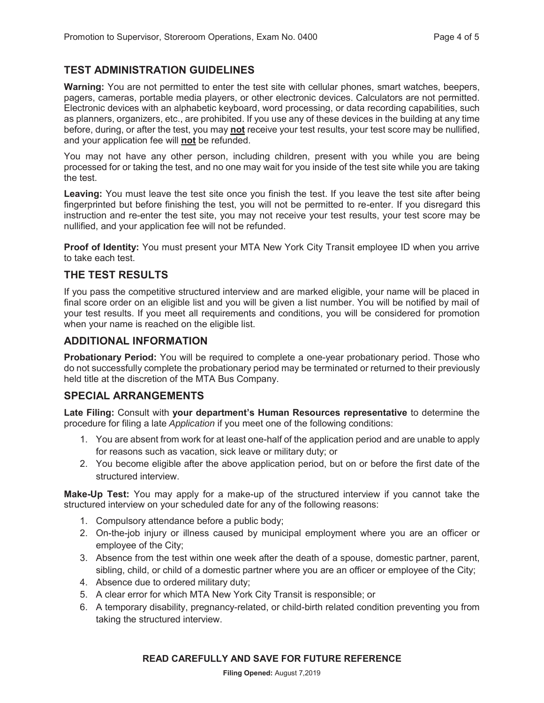# **TEST ADMINISTRATION GUIDELINES**

**Warning:** You are not permitted to enter the test site with cellular phones, smart watches, beepers, pagers, cameras, portable media players, or other electronic devices. Calculators are not permitted. Electronic devices with an alphabetic keyboard, word processing, or data recording capabilities, such as planners, organizers, etc., are prohibited. If you use any of these devices in the building at any time before, during, or after the test, you may **not** receive your test results, your test score may be nullified, and your application fee will **not** be refunded.

You may not have any other person, including children, present with you while you are being processed for or taking the test, and no one may wait for you inside of the test site while you are taking the test.

**Leaving:** You must leave the test site once you finish the test. If you leave the test site after being fingerprinted but before finishing the test, you will not be permitted to re-enter. If you disregard this instruction and re-enter the test site, you may not receive your test results, your test score may be nullified, and your application fee will not be refunded.

**Proof of Identity:** You must present your MTA New York City Transit employee ID when you arrive to take each test.

#### **THE TEST RESULTS**

If you pass the competitive structured interview and are marked eligible, your name will be placed in final score order on an eligible list and you will be given a list number. You will be notified by mail of your test results. If you meet all requirements and conditions, you will be considered for promotion when your name is reached on the eligible list.

#### **ADDITIONAL INFORMATION**

**Probationary Period:** You will be required to complete a one-year probationary period. Those who do not successfully complete the probationary period may be terminated or returned to their previously held title at the discretion of the MTA Bus Company.

#### **SPECIAL ARRANGEMENTS**

**Late Filing:** Consult with **your department's Human Resources representative** to determine the procedure for filing a late *Application* if you meet one of the following conditions:

- 1. You are absent from work for at least one-half of the application period and are unable to apply for reasons such as vacation, sick leave or military duty; or
- 2. You become eligible after the above application period, but on or before the first date of the structured interview.

**Make-Up Test:** You may apply for a make-up of the structured interview if you cannot take the structured interview on your scheduled date for any of the following reasons:

- 1. Compulsory attendance before a public body;
- 2. On-the-job injury or illness caused by municipal employment where you are an officer or employee of the City;
- 3. Absence from the test within one week after the death of a spouse, domestic partner, parent, sibling, child, or child of a domestic partner where you are an officer or employee of the City;
- 4. Absence due to ordered military duty;
- 5. A clear error for which MTA New York City Transit is responsible; or
- 6. A temporary disability, pregnancy-related, or child-birth related condition preventing you from taking the structured interview.

#### **READ CAREFULLY AND SAVE FOR FUTURE REFERENCE**